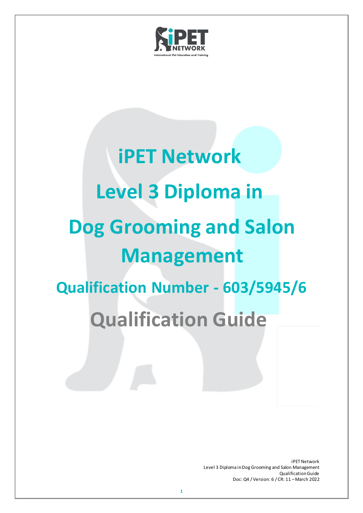

# **iPET Network Level 3 Diploma in Dog Grooming and Salon Management Qualification Number - 603/5945/6 Qualification Guide**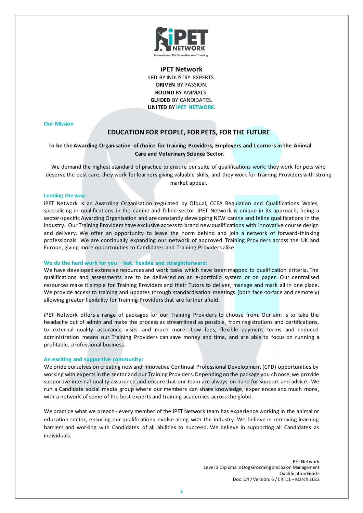

**iPET Network LED** BY INDUSTRY EXPERTS. **DRIVEN** BY PASSION. **BOUND** BY ANIMALS. **GUIDED** BY CANDIDATES. **UNITED** BY **iPET NETWORK**.

#### **Our Mission**

# **EDUCATION FOR PEOPLE, FOR PETS, FOR THE FUTURE**

# **To be the Awarding Organisation of choice for Training Providers, Employers and Learners in the Animal Care and Veterinary Science Sector.**

We demand the highest standard of practice to ensure our suite of qualifications work: they work for pets who deserve the best care; they work for learners giving valuable skills, and they work for Training Providers with strong market appeal.

#### **Leading the way:**

iPET Network is an Awarding Organisation regulated by Ofqual, CCEA Regulation and Qualifications Wales, specialising in qualifications in the canine and feline sector. iPET Network is unique in its approach, being a sector-specific Awarding Organisation and are constantly developing NEW canine and feline qualifications in the industry. Our Training Providers have exclusive access to brand new qualifications with innovative course design and delivery. We offer an opportunity to leave the norm behind and join a network of forward-thinking professionals. We are continually expanding our network of approved Training Providers across the UK and Europe, giving more opportunities to Candidates and Training Providers alike.

#### **We do the hard work for you – fast, flexible and straightforward:**

We have developed extensive resources and work tasks which have been mapped to qualification criteria. The qualifications and assessments are to be delivered on an e-portfolio system or on paper. Our centralised resources make it simple for Training Providers and their Tutors to deliver, manage and mark all in one place. We provide access to training and updates through standardisation meetings (both face -to-face and remotely) allowing greater flexibility for Training Providersthat are further afield.

iPET Network offers a range of packages for our Training Providers to choose from. Our aim is to take the headache out of admin and make the process as streamlined as possible, from registrations and certifications, to external quality assurance visits and much more. Low fees, flexible payment terms and reduced administration means our Training Providers can save money and time, and are able to focus on running a profitable, professional business.

#### **An exciting and supportive community:**

We pride ourselves on creating new and innovative Continual Professional Development (CPD) opportunities by working with experts in the sector and our Training Providers. Depending on the package you choose, we provide supportive internal quality assurance and ensure that our team are always on hand for support and advice. We run a Candidate social media group where our members can share knowledge, experiences and much more , with a network of some of the best experts and training academies across the globe.

We practice what we preach - every member of the iPET Network team has experience working in the animal or education sector, ensuring our qualifications evolve along with the industry. We believe in removing learning barriers and working with Candidates of all abilities to succeed. We believe in supporting all Candidates as individuals.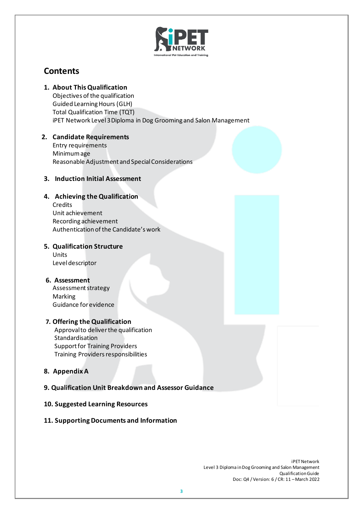

# **Contents**

**1. About This Qualification** 

Objectives of the qualification Guided Learning Hours (GLH) Total Qualification Time (TQT) iPET Network Level 3Diploma in Dog Grooming and Salon Management

# **2. Candidate Requirements**  Entry requirements

Minimum age Reasonable Adjustment and Special Considerations

# **3. Induction Initial Assessment**

# **4. Achieving the Qualification**

**Credits** Unit achievement Recording achievement Authentication of the Candidate's work

# **5. Qualification Structure**

Units Level descriptor

# **6. Assessment**

Assessment strategy Marking Guidance for evidence

# **7. Offering the Qualification**

Approval to deliverthe qualification Standardisation Support for Training Providers Training Providers responsibilities

# **8. Appendix A**

# **9. Qualification Unit Breakdown and Assessor Guidance**

# **10. Suggested Learning Resources**

# **11. Supporting Documents and Information**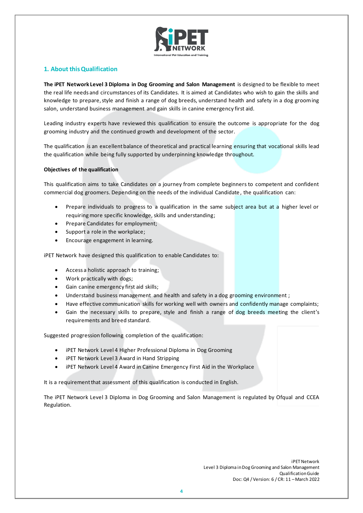

# **1. About thisQualification**

**The iPET Network Level 3 Diploma in Dog Grooming and Salon Management** is designed to be flexible to meet the real life needs and circumstances of its Candidates. It is aimed at Candidates who wish to gain the skills and knowledge to prepare, style and finish a range of dog breeds, understand health and safety in a dog grooming salon, understand business management and gain skills in canine emergency first aid.

Leading industry experts have reviewed this qualification to ensure the outcome is appropriate for the dog grooming industry and the continued growth and development of the sector.

The qualification is an excellent balance of theoretical and practical learning ensuring that vocational skills lead the qualification while being fully supported by underpinning knowledge throughout.

# **Objectives of the qualification**

This qualification aims to take Candidates on a journey from complete beginners to competent and confident commercial dog groomers. Depending on the needs of the individual Candidate , the qualification can:

- Prepare individuals to progress to a qualification in the same subject area but at a higher level or requiring more specific knowledge, skills and understanding;
- Prepare Candidates for employment;
- Support a role in the workplace;
- Encourage engagement in learning.

iPET Network have designed this qualification to enable Candidates to:

- Access a holistic approach to training;
- Work practically with dogs;
- Gain canine emergency first aid skills;
- Understand business management and health and safety in a dog grooming environment;
- Have effective communication skills for working well with owners and confidently manage complaints;
- Gain the necessary skills to prepare, style and finish a range of dog breeds meeting the client's requirements and breed standard.

Suggested progression following completion of the qualification:

- iPET Network Level 4 Higher Professional Diploma in Dog Grooming
- iPET Network Level 3 Award in Hand Stripping
- iPET Network Level 4 Award in Canine Emergency First Aid in the Workplace

It is a requirement that assessment of this qualification is conducted in English.

The iPET Network Level 3 Diploma in Dog Grooming and Salon Management is regulated by Ofqual and CCEA Regulation.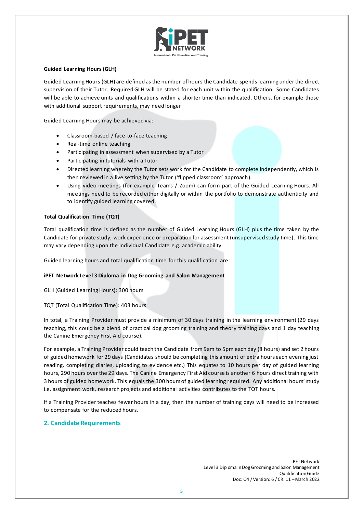

# **Guided Learning Hours (GLH)**

Guided Learning Hours (GLH) are defined as the number of hours the Candidate spends learning under the direct supervision of their Tutor. Required GLH will be stated for each unit within the qualification. Some Candidates will be able to achieve units and qualifications within a shorter time than indicated. Others, for example those with additional support requirements, may need longer.

Guided Learning Hours may be achieved via:

- Classroom-based / face-to-face teaching
- Real-time online teaching
- Participating in assessment when supervised by a Tutor
- Participating in tutorials with a Tutor
- Directed learning whereby the Tutor sets work for the Candidate to complete independently, which is then reviewed in a live setting by the Tutor ('flipped classroom' approach).
- Using video meetings (for example Teams / Zoom) can form part of the Guided Learning Hours. All meetings need to be recorded either digitally or within the portfolio to demonstrate authenticity and to identify guided learning covered.

# **Total Qualification Time (TQT)**

Total qualification time is defined as the number of Guided Learning Hours (GLH) plus the time taken by the Candidate for private study, work experience or preparation for assessment (unsupervised study time). This time may vary depending upon the individual Candidate e.g. academic ability.

Guided learning hours and total qualification time for this qualification are:

# **iPET Network Level 3 Diploma in Dog Grooming and Salon Management**

GLH (Guided Learning Hours): 300 hours

TQT (Total Qualification Time): 403 hours

In total, a Training Provider must provide a minimum of 30 days training in the learning environment (29 days teaching, this could be a blend of practical dog grooming training and theory training days and 1 day teaching the Canine Emergency First Aid course).

For example, a Training Provider could teach the Candidate from 9am to 5pm each day (8 hours) and set 2 hours of guided homework for 29 days (Candidates should be completing this amount of extra hours each evening just reading, completing diaries, uploading to evidence etc.) This equates to 10 hours per day of guided learning hours, 290 hours over the 29 days. The Canine Emergency First Aid course is another 6 hours direct training with 3 hours of guided homework. This equals the 300 hours of guided learning required. Any additional hours' study i.e. assignment work, research projects and additional activities contributes to the TQT hours.

If a Training Provider teaches fewer hours in a day, then the number of training days will need to be increased to compensate for the reduced hours.

# **2. Candidate Requirements**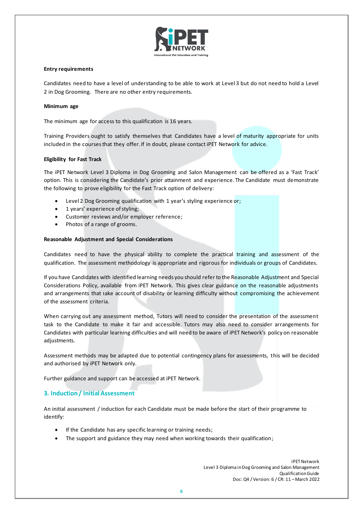

## **Entry requirements**

Candidates need to have a level of understanding to be able to work at Level 3 but do not need to hold a Level 2 in Dog Grooming. There are no other entry requirements.

#### **Minimum age**

The minimum age for access to this qualification is 16 years.

Training Providers ought to satisfy themselves that Candidates have a level of maturity appropriate for units included in the courses that they offer. If in doubt, please contact iPET Network for advice.

## **Eligibility for Fast Track**

The iPET Network Level 3 Diploma in Dog Grooming and Salon Management can be offered as a 'Fast Track' option. This is considering the Candidate's prior attainment and experience. The Candidate must demonstrate the following to prove eligibility for the Fast Track option of delivery:

- Level 2 Dog Grooming qualification with 1 year's styling experience or;
- 1 years' experience of styling;
- Customer reviews and/or employer reference;
- Photos of a range of grooms.

## **Reasonable Adjustment and Special Considerations**

Candidates need to have the physical ability to complete the practical training and assessment of the qualification. The assessment methodology is appropriate and rigorous for individuals or groups of Candidates.

If you have Candidates with identified learning needs you should refer to the Reasonable Adjustment and Special Considerations Policy, available from iPET Network. This gives clear guidance on the reasonable adjustments and arrangements that take account of disability or learning difficulty without compromising the achievement of the assessment criteria.

When carrying out any assessment method, Tutors will need to consider the presentation of the assessment task to the Candidate to make it fair and accessible. Tutors may also need to consider arrangements for Candidates with particular learning difficulties and will need to be aware of iPET Network's policy on reasonable adjustments.

Assessment methods may be adapted due to potential contingency plans for assessments, this will be decided and authorised by iPET Network only.

Further guidance and support can be accessed at iPET Network.

# **3. Induction / Initial Assessment**

An initial assessment / induction for each Candidate must be made before the start of their programme to identify:

- If the Candidate has any specific learning or training needs;
- The support and guidance they may need when working towards their qualification;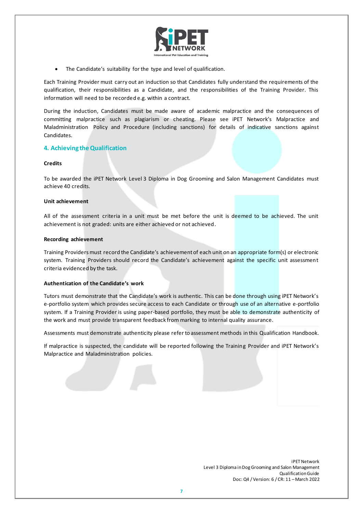

The Candidate's suitability for the type and level of qualification.

Each Training Provider must carry out an induction so that Candidates fully understand the requirements of the qualification, their responsibilities as a Candidate, and the responsibilities of the Training Provider. This information will need to be recorded e.g. within a contract.

During the induction, Candidates must be made aware of academic malpractice and the consequences of committing malpractice such as plagiarism or cheating. Please see iPET Network's Malpractice and Maladministration Policy and Procedure (including sanctions) for details of indicative sanctions against Candidates.

# **4. Achieving theQualification**

## **Credits**

To be awarded the iPET Network Level 3 Diploma in Dog Grooming and Salon Management Candidates must achieve 40 credits.

## **Unit achievement**

All of the assessment criteria in a unit must be met before the unit is deemed to be achieved. The unit achievement is not graded: units are either achieved or not achieved.

#### **Recording achievement**

Training Providers must record the Candidate's achievement of each unit on an appropriate form(s) or electronic system. Training Providers should record the Candidate's achievement against the specific unit assessment criteria evidenced by the task.

# **Authentication of the Candidate's work**

Tutors must demonstrate that the Candidate's work is authentic. This can be done through using iPET Network's e-portfolio system which provides secure access to each Candidate or through use of an alternative e-portfolio system. If a Training Provider is using paper-based portfolio, they must be able to demonstrate authenticity of the work and must provide transparent feedback from marking to internal quality assurance.

Assessments must demonstrate authenticity please refer to assessment methods in this Qualification Handbook.

If malpractice is suspected, the candidate will be reported following the Training Provider and iPET Network's Malpractice and Maladministration policies.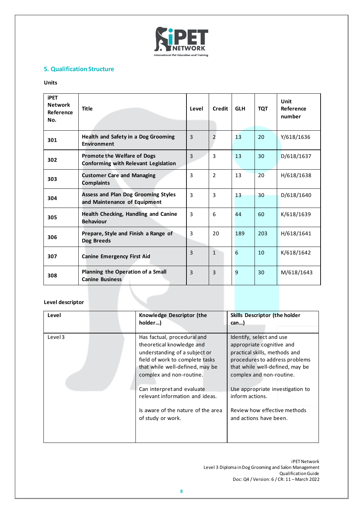

# **5. Qualification Structure**

# **Units**

| <b>iPET</b><br><b>Network</b><br>Reference<br>No. | <b>Title</b>                                                                      | Level          | Credit         | <b>GLH</b> | <b>TQT</b> | Unit<br>Reference<br>number |
|---------------------------------------------------|-----------------------------------------------------------------------------------|----------------|----------------|------------|------------|-----------------------------|
| 301                                               | Health and Safety in a Dog Grooming<br><b>Environment</b>                         | $\overline{3}$ | $\overline{2}$ | 13         | 20         | Y/618/1636                  |
| 302                                               | <b>Promote the Welfare of Dogs</b><br><b>Conforming with Relevant Legislation</b> | $\overline{3}$ | 3              | 13         | 30         | D/618/1637                  |
| 303                                               | <b>Customer Care and Managing</b><br><b>Complaints</b>                            | 3              | $\mathfrak{D}$ | 13         | 20         | H/618/1638                  |
| 304                                               | <b>Assess and Plan Dog Grooming Styles</b><br>and Maintenance of Equipment        | $\overline{3}$ | 3              | 13         | 30         | D/618/1640                  |
| 305                                               | Health Checking, Handling and Canine<br><b>Behaviour</b>                          | 3              | 6              | 44         | 60         | K/618/1639                  |
| 306                                               | Prepare, Style and Finish a Range of<br>Dog Breeds                                | 3              | 20             | 189        | 203        | H/618/1641                  |
| 307                                               | <b>Canine Emergency First Aid</b>                                                 | 3              | $\mathbf{1}$   | 6          | 10         | K/618/1642                  |
| 308                                               | Planning the Operation of a Small<br><b>Canine Business</b>                       | 3              | 3              | 9          | 30         | M/618/1643                  |

# **Level descriptor**

| Level   | Knowledge Descriptor (the<br>holder)                                                                                                                                                                                                                         | <b>Skills Descriptor (the holder</b><br>can)                                                                                                                                                                                                   |
|---------|--------------------------------------------------------------------------------------------------------------------------------------------------------------------------------------------------------------------------------------------------------------|------------------------------------------------------------------------------------------------------------------------------------------------------------------------------------------------------------------------------------------------|
| Level 3 | Has factual, procedural and<br>theoretical knowledge and<br>understanding of a subject or<br>field of work to complete tasks<br>that while well-defined, may be<br>complex and non-routine.<br>Can interpret and evaluate<br>relevant information and ideas. | Identify, select and use<br>appropriate cognitive and<br>practical skills, methods and<br>procedures to address problems<br>that while well-defined, may be<br>complex and non-routine.<br>Use appropriate investigation to<br>inform actions. |
|         | Is aware of the nature of the area<br>of study or work.                                                                                                                                                                                                      | Review how effective methods<br>and actions have been.                                                                                                                                                                                         |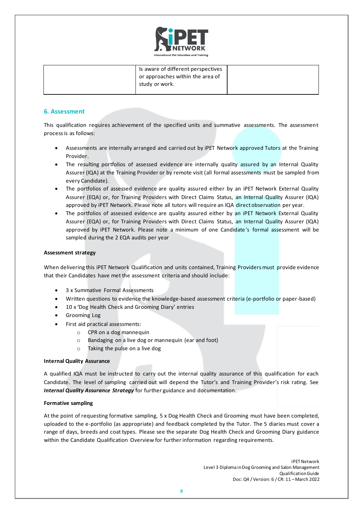

| Is aware of different perspectives<br>or approaches within the area of<br>study or work. |  |
|------------------------------------------------------------------------------------------|--|
|                                                                                          |  |

# **6. Assessment**

This qualification requires achievement of the specified units and summative assessments. The assessment process is as follows:

- Assessments are internally arranged and carried out by iPET Network approved Tutors at the Training Provider.
- The resulting portfolios of assessed evidence are internally quality assured by an Internal Quality Assurer (IQA) at the Training Provider or by remote visit (all formal assessments must be sampled from every Candidate).
- The portfolios of assessed evidence are quality assured either by an iPET Network External Quality Assurer (EQA) or, for Training Providers with Direct Claims Status, an Internal Quality Assurer (IQA) approved by iPET Network. Please note all tutors will require an IQA direct observation per year.
- The portfolios of assessed evidence are quality assured either by an iPET Network External Quality Assurer (EQA) or, for Training Providers with Direct Claims Status, an Internal Quality Assurer (IQA) approved by iPET Network. Please note a minimum of one Candidate's formal assessment will be sampled during the 2 EQA audits per year

# **Assessment strategy**

When delivering this iPET Network Qualification and units contained, Training Providers must provide evidence that their Candidates have met the assessment criteria and should include:

- 3 x Summative Formal Assessments
- Written questions to evidence the knowledge-based assessment criteria (e-portfolio or paper-based)
- 10 x 'Dog Health Check and Grooming Diary' entries
- Grooming Log
- First aid practical assessments:
	- o CPR on a dog mannequin
	- o Bandaging on a live dog or mannequin (ear and foot)
	- o Taking the pulse on a live dog

# **Internal Quality Assurance**

A qualified IQA must be instructed to carry out the internal quality assurance of this qualification for each Candidate. The level of sampling carried out will depend the Tutor's and Training Provider's risk rating. See *Internal Quality Assurance Strategy* for further guidance and documentation.

# **Formative sampling**

At the point of requesting formative sampling, 5 x Dog Health Check and Grooming must have been completed, uploaded to the e-portfolio (as appropriate) and feedback completed by the Tutor. The 5 diaries must cover a range of days, breeds and coat types. Please see the separate Dog Health Check and Grooming Diary guidance within the Candidate Qualification Overview for further information regarding requirements.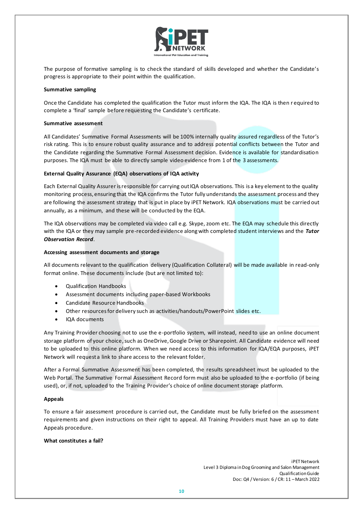

The purpose of formative sampling is to check the standard of skills developed and whether the Candidate's progress is appropriate to their point within the qualification.

## **Summative sampling**

Once the Candidate has completed the qualification the Tutor must inform the IQA. The IQA is then r equired to complete a 'final' sample before requesting the Candidate's certificate.

#### **Summative assessment**

All Candidates' Summative Formal Assessments will be 100% internally quality assured regardless of the Tutor's risk rating. This is to ensure robust quality assurance and to address potential conflicts between the Tutor and the Candidate regarding the Summative Formal Assessment decision. Evidence is available for standardisation purposes. The IQA must be able to directly sample video evidence from 1 of the 3 assessments.

# **External Quality Assurance (EQA) observations of IQA activity**

Each External Quality Assurer is responsible for carrying out IQA observations. This is a key element to the quality monitoring process, ensuring that the IQA confirms the Tutor fully understands the assessment process and they are following the assessment strategy that is put in place by iPET Network. IQA observations must be carried out annually, as a minimum, and these will be conducted by the EQA.

The IQA observations may be completed via video call e.g. Skype, zoom etc. The EQA may schedule this directly with the IQA or they may sample pre-recorded evidence along with completed student interviews and the *Tutor Observation Record*.

## **Accessing assessment documents and storage**

All documents relevant to the qualification delivery (Qualification Collateral) will be made available in read-only format online. These documents include (but are not limited to):

- Qualification Handbooks
- Assessment documents including paper-based Workbooks
- Candidate Resource Handbooks
- Other resources for delivery such as activities/handouts/PowerPoint slides etc.
- IQA documents

Any Training Provider choosing not to use the e-portfolio system, will instead, need to use an online document storage platform of your choice, such as OneDrive, Google Drive or Sharepoint. All Candidate evidence will need to be uploaded to this online platform. When we need access to this information for IQA/EQA purposes, iPET Network will request a link to share access to the relevant folder.

After a Formal Summative Assessment has been completed, the results spreadsheet must be uploaded to the Web Portal. The Summative Formal Assessment Record form must also be uploaded to the e-portfolio (if being used), or, if not, uploaded to the Training Provider's choice of online document storage platform.

# **Appeals**

To ensure a fair assessment procedure is carried out, the Candidate must be fully briefed on the assessment requirements and given instructions on their right to appeal. All Training Providers must have an up to date Appeals procedure.

# **What constitutes a fail?**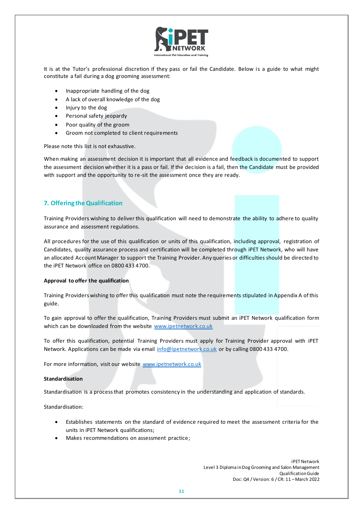

It is at the Tutor's professional discretion if they pass or fail the Candidate. Below is a guide to what might constitute a fail during a dog grooming assessment:

- Inappropriate handling of the dog
- A lack of overall knowledge of the dog
- Injury to the dog
- Personal safety jeopardy
- Poor quality of the groom
- Groom not completed to client requirements

Please note this list is not exhaustive.

When making an assessment decision it is important that all evidence and feedback is documented to support the assessment decision whether it is a pass or fail. If the decision is a fail, then the Candidate must be provided with support and the opportunity to re-sit the assessment once they are ready.

# **7. Offering theQualification**

Training Providers wishing to deliver this qualification will need to demonstrate the ability to adhere to quality assurance and assessment regulations.

All procedures for the use of this qualification or units of this qualification, including approval, registration of Candidates, quality assurance process and certification will be completed through iPET Network, who will have an allocated Account Manager to support the Training Provider. Any queries or difficulties should be directed to the iPET Network office on 0800 433 4700.

#### **Approval to offer the qualification**

Training Providers wishing to offer this qualification must note the requirements stipulated in Appendix A of this guide.

To gain approval to offer the qualification, Training Providers must submit an iPET Network qualification form which can be downloaded from the website [www.ipetnetwork.co.uk](http://www.ipetnetwork.co.uk/)

To offer this qualification, potential Training Providers must apply for Training Provider approval with iPET Network. Applications can be made via email [info@ipetnetwork.co.uk](mailto:info@ipetnetwork.co.uk) or by calling 0800 433 4700.

For more information, visit our website [www.ipetnetwork.co.uk](http://www.ipetnetwork.co.uk/)

#### **Standardisation**

Standardisation is a process that promotes consistency in the understanding and application of standards.

Standardisation:

- Establishes statements on the standard of evidence required to meet the assessment criteria for the units in iPET Network qualifications;
- Makes recommendations on assessment practice;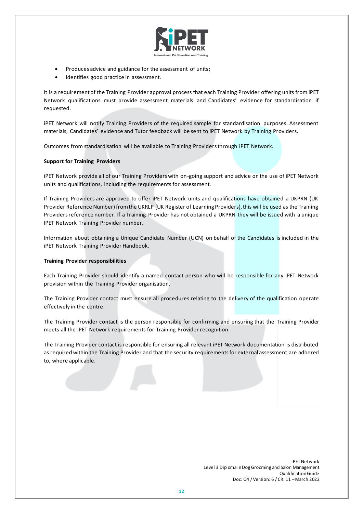

- Produces advice and guidance for the assessment of units;
- Identifies good practice in assessment.

It is a requirement of the Training Provider approval process that each Training Provider offering units from iPET Network qualifications must provide assessment materials and Candidates' evidence for standardisation if requested.

iPET Network will notify Training Providers of the required sample for standardisation purposes. Assessment materials, Candidates' evidence and Tutor feedback will be sent to iPET Network by Training Providers.

Outcomes from standardisation will be available to Training Providers through iPET Network.

# **Support for Training Providers**

iPET Network provide all of our Training Providers with on-going support and advice on the use of iPET Network units and qualifications, including the requirements for assessment.

If Training Providers are approved to offer iPET Network units and qualifications have obtained a UKPRN (UK Provider Reference Number) from the UKRLP (UK Register of Learning Providers), this will be used as the Training Providers reference number. If a Training Provider has not obtained a UKPRN they will be issued with a unique IPET Network Training Provider number.

Information about obtaining a Unique Candidate Number (UCN) on behalf of the Candidates is included in the iPET Network Training Provider Handbook.

# **Training Provider responsibilities**

Each Training Provider should identify a named contact person who will be responsible for any iPET Network provision within the Training Provider organisation.

The Training Provider contact must ensure all procedures relating to the delivery of the qualification operate effectively in the centre.

The Training Provider contact is the person responsible for confirming and ensuring that the Training Provider meets all the iPET Network requirements for Training Provider recognition.

The Training Provider contact is responsible for ensuring all relevant iPET Network documentation is distributed as required within the Training Provider and that the security requirements for external assessment are adhered to, where applicable.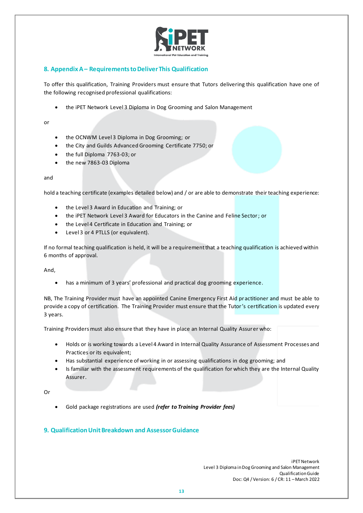

# **8. AppendixA– RequirementstoDeliverThis Qualification**

To offer this qualification, Training Providers must ensure that Tutors delivering this qualification have one of the following recognised professional qualifications:

• the iPET Network Level 3 Diploma in Dog Grooming and Salon Management

or

- the OCNWM Level 3 Diploma in Dog Grooming; or
- the City and Guilds Advanced Grooming Certificate 7750; or
- the full Diploma 7763-03; or
- the new 7863-03 Diploma

## and

hold a teaching certificate (examples detailed below) and / or are able to demonstrate their teaching experience:

- the Level 3 Award in Education and Training; or
- the iPET Network Level 3 Award for Educators in the Canine and Feline Sector; or
- the Level 4 Certificate in Education and Training; or
- Level 3 or 4 PTLLS (or equivalent).

If no formal teaching qualification is held, it will be a requirement that a teaching qualification is achieved within 6 months of approval.

And,

• has a minimum of 3 years' professional and practical dog grooming experience.

NB, The Training Provider must have an appointed Canine Emergency First Aid pr actitioner and must be able to provide a copy of certification. The Training Provider must ensure that the Tutor's certification is updated every 3 years.

Training Providers must also ensure that they have in place an Internal Quality Assurer who:

- Holds or is working towards a Level 4 Award in Internal Quality Assurance of Assessment Processes and Practices or its equivalent;
- Has substantial experience of working in or assessing qualifications in dog grooming; and
- Is familiar with the assessment requirements of the qualification for which they are the Internal Quality Assurer.

Or

• Gold package registrations are used *(refer to Training Provider fees)*

# **9. Qualification Unit Breakdown and Assessor Guidance**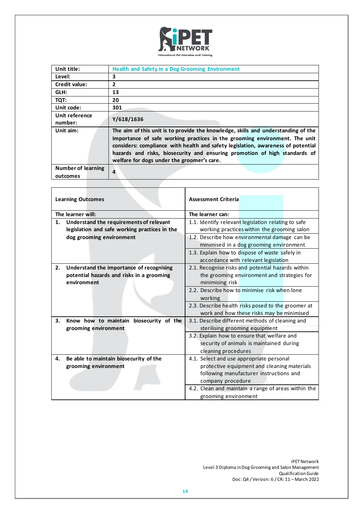

| Unit title:               | <b>Health and Safety in a Dog Grooming Environment</b>                                                                                                                                                                                                                                                                                                                          |
|---------------------------|---------------------------------------------------------------------------------------------------------------------------------------------------------------------------------------------------------------------------------------------------------------------------------------------------------------------------------------------------------------------------------|
| Level:                    | 3                                                                                                                                                                                                                                                                                                                                                                               |
| Credit value:             | $\overline{2}$                                                                                                                                                                                                                                                                                                                                                                  |
| GLH:                      | 13                                                                                                                                                                                                                                                                                                                                                                              |
| TQT:                      | 20                                                                                                                                                                                                                                                                                                                                                                              |
| Unit code:                | 301                                                                                                                                                                                                                                                                                                                                                                             |
| Unit reference            | Y/618/1636                                                                                                                                                                                                                                                                                                                                                                      |
| number:                   |                                                                                                                                                                                                                                                                                                                                                                                 |
| Unit aim:                 | The aim of this unit is to provide the knowledge, skills and understanding of the<br>importance of safe working practices in the grooming environment. The unit<br>considers: compliance with health and safety legislation, awareness of potential<br>hazards and risks, biosecurity and ensuring promotion of high standards of<br>welfare for dogs under the groomer's care. |
| <b>Number of learning</b> | 4                                                                                                                                                                                                                                                                                                                                                                               |
| outcomes                  |                                                                                                                                                                                                                                                                                                                                                                                 |
|                           |                                                                                                                                                                                                                                                                                                                                                                                 |

| <b>Learning Outcomes</b>                            |                                               | <b>Assessment Criteria</b>                          |                                             |  |
|-----------------------------------------------------|-----------------------------------------------|-----------------------------------------------------|---------------------------------------------|--|
| The learner will:                                   |                                               | The learner can:                                    |                                             |  |
| 1.                                                  | Understand the requirements of relevant       | 1.1. Identify relevant legislation relating to safe |                                             |  |
|                                                     | legislation and safe working practices in the |                                                     | working practices within the grooming salon |  |
|                                                     | dog grooming environment                      | 1.2. Describe how environmental damage can be       |                                             |  |
|                                                     |                                               |                                                     | minimised in a dog grooming environment     |  |
|                                                     |                                               | 1.3. Explain how to dispose of waste safely in      |                                             |  |
|                                                     |                                               |                                                     | accordance with relevant legislation        |  |
| 2.                                                  | Understand the importance of recognising      | 2.1. Recognise risks and potential hazards within   |                                             |  |
|                                                     | potential hazards and risks in a grooming     | the grooming environment and strategies for         |                                             |  |
|                                                     | environment                                   | minimising risk                                     |                                             |  |
|                                                     |                                               | 2.2. Describe how to minimise risk when lone        |                                             |  |
|                                                     |                                               | working                                             |                                             |  |
|                                                     |                                               | 2.3. Describe health risks posed to the groomer at  |                                             |  |
|                                                     |                                               |                                                     | work and how these risks may be minimised   |  |
| З.                                                  | Know how to maintain biosecurity of the       | 3.1. Describe different methods of cleaning and     |                                             |  |
|                                                     | grooming environment                          | sterilising grooming equipment                      |                                             |  |
|                                                     |                                               | 3.2. Explain how to ensure that welfare and         |                                             |  |
|                                                     |                                               | security of animals is maintained during            |                                             |  |
|                                                     |                                               | cleaning procedures                                 |                                             |  |
| 4.                                                  | Be able to maintain biosecurity of the        | 4.1. Select and use appropriate personal            |                                             |  |
|                                                     | grooming environment                          | protective equipment and cleaning materials         |                                             |  |
|                                                     |                                               | following manufacturer instructions and             |                                             |  |
|                                                     |                                               | company procedure                                   |                                             |  |
| 4.2. Clean and maintain a range of areas within the |                                               |                                                     |                                             |  |
|                                                     |                                               | grooming environment                                |                                             |  |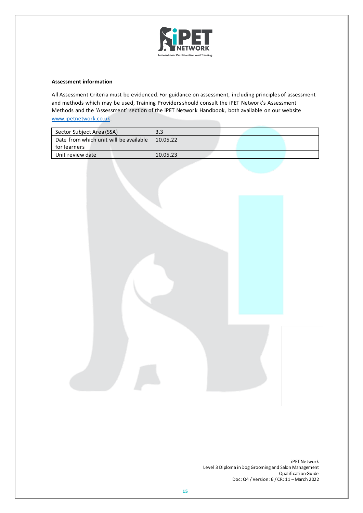

All Assessment Criteria must be evidenced. For guidance on assessment, including principles of assessment and methods which may be used, Training Providers should consult the iPET Network's Assessment Methods and the 'Assessment' section of the iPET Network Handbook, both available on our website [www.ipetnetwork.co.uk.](http://www.ipetnetwork.co.uk/)

| Sector Subject Area (SSA)              | 3.3      |  |  |
|----------------------------------------|----------|--|--|
| Date from which unit will be available | 10.05.22 |  |  |
| for learners                           |          |  |  |
| Unit review date                       | 10.05.23 |  |  |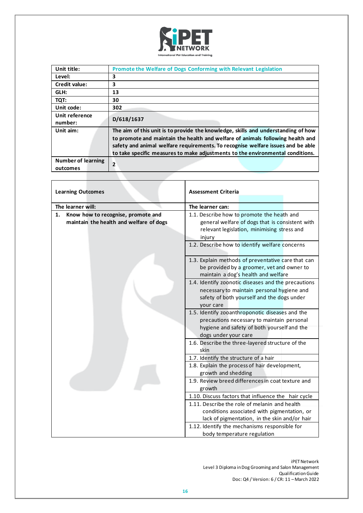

| Unit title:               | Promote the Welfare of Dogs Conforming with Relevant Legislation                  |
|---------------------------|-----------------------------------------------------------------------------------|
| Level:                    | 3                                                                                 |
| <b>Credit value:</b>      | 3                                                                                 |
| GLH:                      | 13                                                                                |
| TQT:                      | 30                                                                                |
| Unit code:                | 302                                                                               |
| Unit reference            | D/618/1637                                                                        |
| number:                   |                                                                                   |
| Unit aim:                 | The aim of this unit is to provide the knowledge, skills and understanding of how |
|                           | to promote and maintain the health and welfare of animals following health and    |
|                           | safety and animal welfare requirements. To recognise welfare issues and be able   |
|                           | to take specific measures to make adjustments to the environmental conditions.    |
| <b>Number of learning</b> |                                                                                   |
| outcomes                  | $\overline{2}$                                                                    |

| <b>Learning Outcomes</b>                                                            | <b>Assessment Criteria</b>                                                                                                                                           |  |  |  |
|-------------------------------------------------------------------------------------|----------------------------------------------------------------------------------------------------------------------------------------------------------------------|--|--|--|
| The learner will:                                                                   | The learner can:                                                                                                                                                     |  |  |  |
| Know how to recognise, promote and<br>1.<br>maintain the health and welfare of dogs | 1.1. Describe how to promote the heath and<br>general welfare of dogs that is consistent with<br>relevant legislation, minimising stress and<br>injury               |  |  |  |
|                                                                                     | 1.2. Describe how to identify welfare concerns                                                                                                                       |  |  |  |
|                                                                                     | 1.3. Explain methods of preventative care that can<br>be provided by a groomer, vet and owner to<br>maintain a dog's health and welfare                              |  |  |  |
|                                                                                     | 1.4. Identify zoonotic diseases and the precautions<br>necessary to maintain personal hygiene and<br>safety of both yourself and the dogs under<br>your care         |  |  |  |
|                                                                                     | 1.5. Identify zooanthroponotic diseases and the<br>precautions necessary to maintain personal<br>hygiene and safety of both yourself and the<br>dogs under your care |  |  |  |
|                                                                                     | 1.6. Describe the three-layered structure of the<br>skin                                                                                                             |  |  |  |
|                                                                                     | 1.7. Identify the structure of a hair                                                                                                                                |  |  |  |
|                                                                                     | 1.8. Explain the process of hair development,<br>growth and shedding                                                                                                 |  |  |  |
|                                                                                     | 1.9. Review breed differences in coat texture and<br>growth                                                                                                          |  |  |  |
|                                                                                     | 1.10. Discuss factors that influence the hair cycle                                                                                                                  |  |  |  |
|                                                                                     | 1.11. Describe the role of melanin and health                                                                                                                        |  |  |  |
|                                                                                     | conditions associated with pigmentation, or<br>lack of pigmentation, in the skin and/or hair                                                                         |  |  |  |
|                                                                                     | 1.12. Identify the mechanisms responsible for<br>body temperature regulation                                                                                         |  |  |  |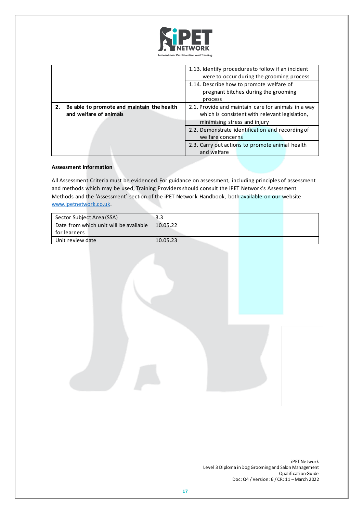

|                                                                            | 1.13. Identify procedures to follow if an incident<br>were to occur during the grooming process                                       |  |  |
|----------------------------------------------------------------------------|---------------------------------------------------------------------------------------------------------------------------------------|--|--|
|                                                                            | 1.14. Describe how to promote welfare of<br>pregnant bitches during the grooming<br>process                                           |  |  |
| Be able to promote and maintain the health<br>2.<br>and welfare of animals | 2.1. Provide and maintain care for animals in a way<br>which is consistent with relevant legislation,<br>minimising stress and injury |  |  |
|                                                                            | 2.2. Demonstrate identification and recording of<br>welfare concerns                                                                  |  |  |
|                                                                            | 2.3. Carry out actions to promote animal health<br>and welfare                                                                        |  |  |

All Assessment Criteria must be evidenced. For guidance on assessment, including principles of assessment and methods which may be used, Training Providers should consult the iPET Network's Assessment Methods and the 'Assessment' section of the iPET Network Handbook, both available on our website [www.ipetnetwork.co.uk.](http://www.ipetnetwork.co.uk/)

| Sector Subject Area (SSA)              | 3.3      |  |
|----------------------------------------|----------|--|
| Date from which unit will be available | 10.05.22 |  |
| for learners                           |          |  |
| Unit review date                       | 10.05.23 |  |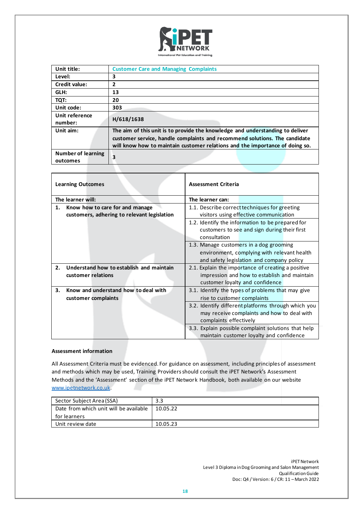

| Unit title:                           | <b>Customer Care and Managing Complaints</b>                                                                                                                                                                                                |
|---------------------------------------|---------------------------------------------------------------------------------------------------------------------------------------------------------------------------------------------------------------------------------------------|
| Level:                                | 3                                                                                                                                                                                                                                           |
| <b>Credit value:</b>                  | 2                                                                                                                                                                                                                                           |
| GLH:                                  | 13                                                                                                                                                                                                                                          |
| TQT:                                  | 20                                                                                                                                                                                                                                          |
| Unit code:                            | 303                                                                                                                                                                                                                                         |
| Unit reference<br>number:             | H/618/1638                                                                                                                                                                                                                                  |
| Unit aim:                             | The aim of this unit is to provide the knowledge and understanding to deliver<br>customer service, handle complaints and recommend solutions. The candidate<br>will know how to maintain customer relations and the importance of doing so. |
| <b>Number of learning</b><br>outcomes | 3                                                                                                                                                                                                                                           |

|                                                                                      | <b>Learning Outcomes</b>                                                                                                                        | <b>Assessment Criteria</b>                                                                      |                                                                                          |  |
|--------------------------------------------------------------------------------------|-------------------------------------------------------------------------------------------------------------------------------------------------|-------------------------------------------------------------------------------------------------|------------------------------------------------------------------------------------------|--|
|                                                                                      | The learner will:                                                                                                                               | The learner can:                                                                                |                                                                                          |  |
| Know how to care for and manage<br>1.<br>customers, adhering to relevant legislation |                                                                                                                                                 | 1.1. Describe correct techniques for greeting                                                   | visitors using effective communication                                                   |  |
|                                                                                      |                                                                                                                                                 | 1.2. Identify the information to be prepared for<br>consultation                                | customers to see and sign during their first                                             |  |
|                                                                                      |                                                                                                                                                 | 1.3. Manage customers in a dog grooming                                                         | environment, complying with relevant health<br>and safety legislation and company policy |  |
| 2.                                                                                   | Understand how to establish and maintain<br>customer relations                                                                                  | 2.1. Explain the importance of creating a positive                                              | impression and how to establish and maintain<br>customer loyalty and confidence          |  |
| 3.                                                                                   | Know and understand how to deal with<br>3.1. Identify the types of problems that may give<br>rise to customer complaints<br>customer complaints |                                                                                                 |                                                                                          |  |
|                                                                                      |                                                                                                                                                 | 3.2. Identify different platforms through which you<br>complaints effectively                   | may receive complaints and how to deal with                                              |  |
|                                                                                      |                                                                                                                                                 | 3.3. Explain possible complaint solutions that help<br>maintain customer loyalty and confidence |                                                                                          |  |

All Assessment Criteria must be evidenced. For guidance on assessment, including principles of assessment and methods which may be used, Training Providers should consult the iPET Network's Assessment Methods and the 'Assessment' section of the iPET Network Handbook, both available on our website [www.ipetnetwork.co.uk.](http://www.ipetnetwork.co.uk/)

| Sector Subject Area (SSA)              | 3.3      |
|----------------------------------------|----------|
| Date from which unit will be available | 10.05.22 |
| for learners                           |          |
| Unit review date                       | 10.05.23 |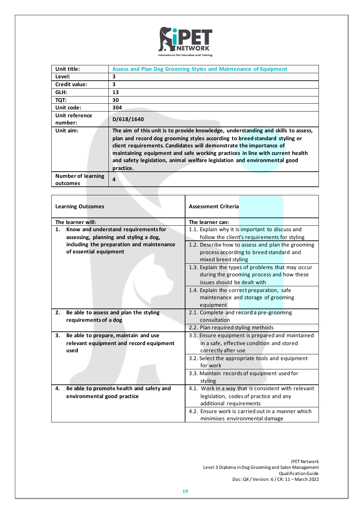

| Unit title:               | Assess and Plan Dog Grooming Styles and Maintenance of Equipment                                                                                                                                                                                                                                                                                                                                   |
|---------------------------|----------------------------------------------------------------------------------------------------------------------------------------------------------------------------------------------------------------------------------------------------------------------------------------------------------------------------------------------------------------------------------------------------|
| Level:                    | 3                                                                                                                                                                                                                                                                                                                                                                                                  |
| Credit value:             | 3                                                                                                                                                                                                                                                                                                                                                                                                  |
| GLH:                      | 13                                                                                                                                                                                                                                                                                                                                                                                                 |
| TQT:                      | 30                                                                                                                                                                                                                                                                                                                                                                                                 |
| Unit code:                | 304                                                                                                                                                                                                                                                                                                                                                                                                |
| Unit reference            | D/618/1640                                                                                                                                                                                                                                                                                                                                                                                         |
| number:                   |                                                                                                                                                                                                                                                                                                                                                                                                    |
| Unit aim:                 | The aim of this unit is to provide knowledge, understanding and skills to assess,<br>plan and record dog grooming styles according to breed standard styling or<br>client requirements. Candidates will demonstrate the importance of<br>maintaining equipment and safe working practices in line with current health<br>and safety legislation, animal welfare legislation and environmental good |
|                           | practice.                                                                                                                                                                                                                                                                                                                                                                                          |
| <b>Number of learning</b> | $\overline{a}$                                                                                                                                                                                                                                                                                                                                                                                     |
| outcomes                  |                                                                                                                                                                                                                                                                                                                                                                                                    |

|                             | <b>Learning Outcomes</b>                  | <b>Assessment Criteria</b>                          |  |  |
|-----------------------------|-------------------------------------------|-----------------------------------------------------|--|--|
|                             | The learner will:                         | The learner can:                                    |  |  |
| 1.                          | Know and understand requirements for      | 1.1. Explain why it is important to discuss and     |  |  |
|                             | assessing, planning and styling a dog,    | follow the client's requirements for styling        |  |  |
|                             | including the preparation and maintenance | 1.2. Describe how to assess and plan the grooming   |  |  |
|                             | of essential equipment                    | process according to breed standard and             |  |  |
|                             |                                           | mixed breed styling                                 |  |  |
|                             |                                           | 1.3. Explain the types of problems that may occur   |  |  |
|                             |                                           | during the grooming process and how these           |  |  |
| issues should be dealt with |                                           |                                                     |  |  |
|                             |                                           | 1.4. Explain the correct preparation, safe          |  |  |
|                             |                                           | maintenance and storage of grooming                 |  |  |
|                             |                                           | equipment                                           |  |  |
| 2.                          | Be able to assess and plan the styling    | 2.1. Complete and record a pre-grooming             |  |  |
|                             | requirements of a dog                     | consultation                                        |  |  |
|                             |                                           | 2.2. Plan required styling methods                  |  |  |
| 3.                          | Be able to prepare, maintain and use      | 3.1. Ensure equipment is prepared and maintained    |  |  |
|                             | relevant equipment and record equipment   | in a safe, effective condition and stored           |  |  |
|                             | used                                      | correctly after use                                 |  |  |
|                             |                                           | 3.2. Select the appropriate tools and equipment     |  |  |
|                             |                                           | for work                                            |  |  |
|                             |                                           | 3.3. Maintain records of equipment used for         |  |  |
|                             |                                           | styling                                             |  |  |
| 4.                          | Be able to promote health and safety and  | 4.1. Work in a way that is consistent with relevant |  |  |
|                             | environmental good practice               | legislation, codes of practice and any              |  |  |
|                             |                                           | additional requirements                             |  |  |
|                             |                                           | 4.2. Ensure work is carried out in a manner which   |  |  |
|                             |                                           | minimises environmental damage                      |  |  |

٦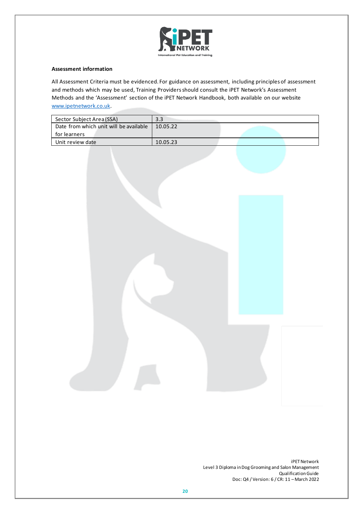

All Assessment Criteria must be evidenced. For guidance on assessment, including principles of assessment and methods which may be used, Training Providers should consult the iPET Network's Assessment Methods and the 'Assessment' section of the iPET Network Handbook, both available on our website [www.ipetnetwork.co.uk.](http://www.ipetnetwork.co.uk/)

| Sector Subject Area (SSA)              | 3.3      |  |
|----------------------------------------|----------|--|
| Date from which unit will be available | 10.05.22 |  |
| for learners                           |          |  |
| Unit review date                       | 10.05.23 |  |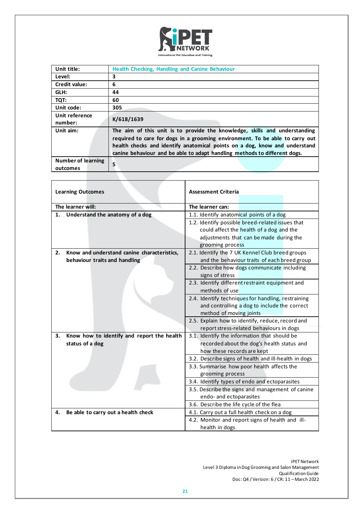

| Unit title:                           | <b>Health Checking, Handling and Canine Behaviour</b>                                                                                                                                                                                                                                                                 |
|---------------------------------------|-----------------------------------------------------------------------------------------------------------------------------------------------------------------------------------------------------------------------------------------------------------------------------------------------------------------------|
| Level:                                | 3                                                                                                                                                                                                                                                                                                                     |
| <b>Credit value:</b>                  | 6                                                                                                                                                                                                                                                                                                                     |
| GLH:                                  | 44                                                                                                                                                                                                                                                                                                                    |
| TQT:                                  | 60                                                                                                                                                                                                                                                                                                                    |
| Unit code:                            | 305                                                                                                                                                                                                                                                                                                                   |
| Unit reference<br>number:             | K/618/1639                                                                                                                                                                                                                                                                                                            |
| Unit aim:                             | The aim of this unit is to provide the knowledge, skills and understanding<br>required to care for dogs in a grooming environment. To be able to carry out<br>health checks and identify anatomical points on a dog, know and understand<br>canine behaviour and be able to adapt handling methods to different dogs. |
| <b>Number of learning</b><br>outcomes | 5                                                                                                                                                                                                                                                                                                                     |

|                                          | <b>Learning Outcomes</b>                    | <b>Assessment Criteria</b>                           |                                              |  |
|------------------------------------------|---------------------------------------------|------------------------------------------------------|----------------------------------------------|--|
|                                          |                                             |                                                      |                                              |  |
|                                          | The learner will:                           | The learner can:                                     |                                              |  |
| 1.                                       | Understand the anatomy of a dog             | 1.1. Identify anatomical points of a dog             |                                              |  |
|                                          |                                             | 1.2. Identify possible breed-related issues that     |                                              |  |
|                                          |                                             |                                                      | could affect the health of a dog and the     |  |
|                                          |                                             |                                                      | adjustments that can be made during the      |  |
|                                          |                                             | grooming process                                     |                                              |  |
| 2.                                       | Know and understand canine characteristics, | 2.1. Identify the 7 UK Kennel Club breed groups      |                                              |  |
|                                          | behaviour traits and handling               |                                                      | and the behaviour traits of each breed group |  |
|                                          |                                             | 2.2. Describe how dogs communicate including         |                                              |  |
|                                          |                                             | signs of stress                                      |                                              |  |
|                                          |                                             | 2.3. Identify different restraint equipment and      |                                              |  |
|                                          |                                             | methods of use                                       |                                              |  |
|                                          |                                             | 2.4. Identify techniques for handling, restraining   |                                              |  |
|                                          |                                             |                                                      | and controlling a dog to include the correct |  |
|                                          |                                             | method of moving joints                              |                                              |  |
|                                          |                                             | 2.5. Explain how to identify, reduce, record and     |                                              |  |
| report stress-related behaviours in dogs |                                             |                                                      |                                              |  |
| 3.                                       | Know how to identify and report the health  | 3.1. Identify the information that should be         |                                              |  |
|                                          | status of a dog                             |                                                      | recorded about the dog's health status and   |  |
|                                          |                                             | how these records are kept                           |                                              |  |
|                                          |                                             | 3.2. Describe signs of health and ill-health in dogs |                                              |  |
|                                          |                                             | 3.3. Summarise how poor health affects the           |                                              |  |
|                                          |                                             | grooming process                                     |                                              |  |
|                                          |                                             | 3.4. Identify types of endo and ectoparasites        |                                              |  |
|                                          |                                             | 3.5. Describe the signs and management of canine     |                                              |  |
|                                          |                                             | endo- and ectoparasites                              |                                              |  |
|                                          |                                             | 3.6. Describe the life cycle of the flea             |                                              |  |
| 4.                                       | Be able to carry out a health check         | 4.1. Carry out a full health check on a dog          |                                              |  |
|                                          |                                             | 4.2. Monitor and report signs of health and ill-     |                                              |  |
|                                          |                                             | health in dogs                                       |                                              |  |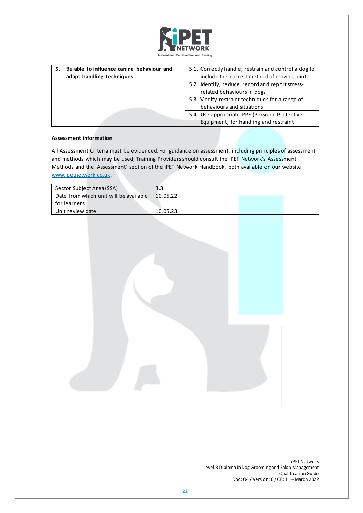

| Be able to influence canine behaviour and | 5.1. Correctly handle, restrain and control a dog to |
|-------------------------------------------|------------------------------------------------------|
| adapt handling techniques                 | include the correct method of moving joints          |
|                                           | 5.2. Identify, reduce, record and report stress-     |
|                                           | related behaviours in dogs                           |
|                                           | 5.3. Modify restraint techniques for a range of      |
|                                           | behaviours and situations                            |
|                                           | 5.4. Use appropriate PPE (Personal Protective        |
|                                           | Equipment) for handling and restraint                |

All Assessment Criteria must be evidenced. For guidance on assessment, including principles of assessment and methods which may be used, Training Providers should consult the iPET Network's Assessment Methods and the 'Assessment' section of the iPET Network Handbook, both available on our website [www.ipetnetwork.co.uk.](http://www.ipetnetwork.co.uk/)

| Sector Subject Area (SSA)              | 3.3      |  |
|----------------------------------------|----------|--|
| Date from which unit will be available | 10.05.22 |  |
| for learners                           |          |  |
| Unit review date                       | 10.05.23 |  |

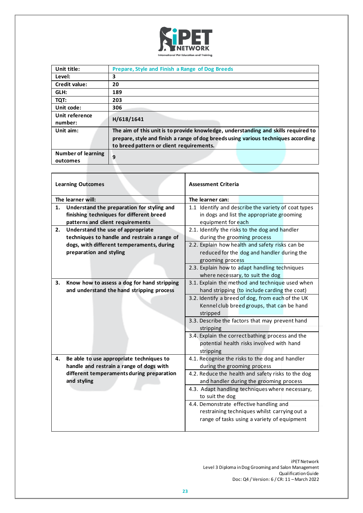

| Unit title:               | Prepare, Style and Finish a Range of Dog Breeds                                    |
|---------------------------|------------------------------------------------------------------------------------|
| Level:                    | 3                                                                                  |
| Credit value:             | 20                                                                                 |
| GLH:                      | 189                                                                                |
| TQT:                      | 203                                                                                |
| Unit code:                | 306                                                                                |
| Unit reference            | H/618/1641                                                                         |
| number:                   |                                                                                    |
| Unit aim:                 | The aim of this unit is to provide knowledge, understanding and skills required to |
|                           | prepare, style and finish a range of dog breeds using various techniques according |
|                           | to breed pattern or client requirements.                                           |
| <b>Number of learning</b> | 9                                                                                  |
| outcomes                  |                                                                                    |

| <b>Learning Outcomes</b>                                                                       |                                                                                                                            | <b>Assessment Criteria</b>                                                                                                             |  |
|------------------------------------------------------------------------------------------------|----------------------------------------------------------------------------------------------------------------------------|----------------------------------------------------------------------------------------------------------------------------------------|--|
|                                                                                                | The learner will:                                                                                                          | The learner can:                                                                                                                       |  |
| 1.                                                                                             | Understand the preparation for styling and<br>finishing techniques for different breed<br>patterns and client requirements | 1.1 Identify and describe the variety of coat types<br>in dogs and list the appropriate grooming<br>equipment for each                 |  |
| 2.                                                                                             | Understand the use of appropriate<br>techniques to handle and restrain a range of                                          | 2.1. Identify the risks to the dog and handler<br>during the grooming process                                                          |  |
|                                                                                                | dogs, with different temperaments, during<br>preparation and styling                                                       | 2.2. Explain how health and safety risks can be<br>reduced for the dog and handler during the<br>grooming process                      |  |
|                                                                                                |                                                                                                                            | 2.3. Explain how to adapt handling techniques<br>where necessary, to suit the dog                                                      |  |
| Know how to assess a dog for hand stripping<br>З.<br>and understand the hand stripping process |                                                                                                                            | 3.1. Explain the method and technique used when<br>hand stripping (to include carding the coat)                                        |  |
|                                                                                                |                                                                                                                            | 3.2. Identify a breed of dog, from each of the UK<br>Kennel club breed groups, that can be hand<br>stripped                            |  |
|                                                                                                |                                                                                                                            | 3.3. Describe the factors that may prevent hand<br>stripping                                                                           |  |
|                                                                                                |                                                                                                                            | 3.4. Explain the correct bathing process and the<br>potential health risks involved with hand<br>stripping                             |  |
| 4.                                                                                             | Be able to use appropriate techniques to<br>handle and restrain a range of dogs with                                       | 4.1. Recognise the risks to the dog and handler<br>during the grooming process                                                         |  |
|                                                                                                | different temperaments during preparation<br>and styling                                                                   | 4.2. Reduce the health and safety risks to the dog<br>and handler during the grooming process                                          |  |
|                                                                                                |                                                                                                                            | 4.3. Adapt handling techniques where necessary,<br>to suit the dog                                                                     |  |
|                                                                                                |                                                                                                                            | 4.4. Demonstrate effective handling and<br>restraining techniques whilst carrying out a<br>range of tasks using a variety of equipment |  |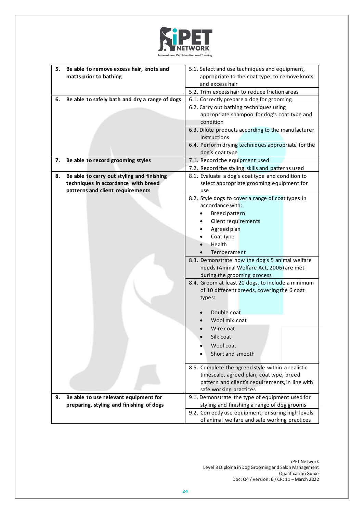

| 5. | Be able to remove excess hair, knots and<br>matts prior to bathing                                                    | 5.1. Select and use techniques and equipment,<br>appropriate to the coat type, to remove knots<br>and excess hair                                                                                                                                       |  |
|----|-----------------------------------------------------------------------------------------------------------------------|---------------------------------------------------------------------------------------------------------------------------------------------------------------------------------------------------------------------------------------------------------|--|
|    |                                                                                                                       | 5.2. Trim excess hair to reduce friction areas                                                                                                                                                                                                          |  |
| 6. | Be able to safely bath and dry a range of dogs                                                                        | 6.1. Correctly prepare a dog for grooming                                                                                                                                                                                                               |  |
|    |                                                                                                                       | 6.2. Carry out bathing techniques using<br>appropriate shampoo for dog's coat type and<br>condition<br>6.3. Dilute products according to the manufacturer                                                                                               |  |
|    |                                                                                                                       | instructions                                                                                                                                                                                                                                            |  |
|    |                                                                                                                       | 6.4. Perform drying techniques appropriate for the<br>dog's coat type                                                                                                                                                                                   |  |
| 7. | Be able to record grooming styles                                                                                     | 7.1. Record the equipment used                                                                                                                                                                                                                          |  |
|    |                                                                                                                       | 7.2. Record the styling skills and patterns used                                                                                                                                                                                                        |  |
| 8. | Be able to carry out styling and finishing<br>techniques in accordance with breed<br>patterns and client requirements | 8.1. Evaluate a dog's coat type and condition to<br>select appropriate grooming equipment for<br>use                                                                                                                                                    |  |
|    |                                                                                                                       | 8.2. Style dogs to cover a range of coat types in<br>accordance with:<br>Breed pattern<br>$\bullet$<br><b>Client requirements</b><br>Agreed plan                                                                                                        |  |
|    |                                                                                                                       | Coat type<br>Health<br>Temperament                                                                                                                                                                                                                      |  |
|    |                                                                                                                       | 8.3. Demonstrate how the dog's 5 animal welfare<br>needs (Animal Welfare Act, 2006) are met<br>during the grooming process<br>8.4. Groom at least 20 dogs, to include a minimum<br>of 10 different breeds, covering the 6 coat<br>types:<br>Double coat |  |
|    |                                                                                                                       |                                                                                                                                                                                                                                                         |  |
|    |                                                                                                                       | Wool mix coat                                                                                                                                                                                                                                           |  |
|    |                                                                                                                       | Wire coat                                                                                                                                                                                                                                               |  |
|    |                                                                                                                       | Silk coat                                                                                                                                                                                                                                               |  |
|    |                                                                                                                       | Wool coat                                                                                                                                                                                                                                               |  |
|    |                                                                                                                       | Short and smooth                                                                                                                                                                                                                                        |  |
|    |                                                                                                                       | 8.5. Complete the agreed style within a realistic<br>timescale, agreed plan, coat type, breed<br>pattern and client's requirements, in line with<br>safe working practices                                                                              |  |
| 9. | Be able to use relevant equipment for                                                                                 | 9.1. Demonstrate the type of equipment used for                                                                                                                                                                                                         |  |
|    | preparing, styling and finishing of dogs                                                                              | styling and finishing a range of dog grooms                                                                                                                                                                                                             |  |
|    |                                                                                                                       | 9.2. Correctly use equipment, ensuring high levels<br>of animal welfare and safe working practices                                                                                                                                                      |  |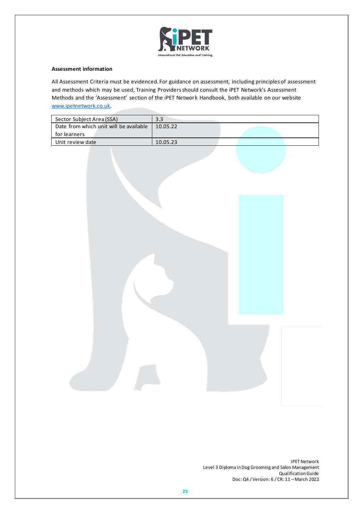

All Assessment Criteria must be evidenced. For guidance on assessment, including principles of assessment and methods which may be used, Training Providers should consult the iPET Network's Assessment Methods and the 'Assessment' section of the iPET Network Handbook, both available on our website [www.ipetnetwork.co.uk.](http://www.ipetnetwork.co.uk/)

| Sector Subject Area (SSA)              | 3.3      |  |
|----------------------------------------|----------|--|
| Date from which unit will be available | 10.05.22 |  |
| for learners                           |          |  |
| Unit review date                       | 10.05.23 |  |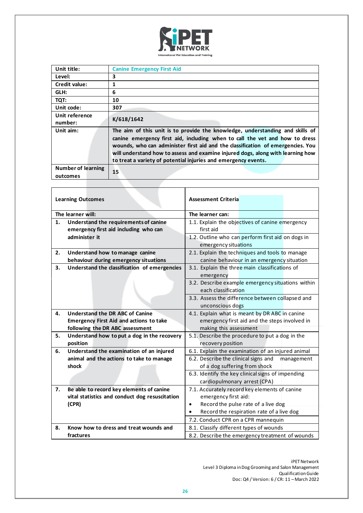

| Unit title:<br><b>Canine Emergency First Aid</b><br>3<br>Level:<br>Credit value:<br>1<br>6<br>GLH:<br>TQT:<br>10<br>Unit code:<br>307<br>Unit reference<br>K/618/1642<br>number:<br>The aim of this unit is to provide the knowledge, understanding and skills of<br>Unit aim:<br>canine emergency first aid, including when to call the vet and how to dress<br>wounds, who can administer first aid and the classification of emergencies. You<br>will understand how to assess and examine injured dogs, along with learning how<br>to treat a variety of potential injuries and emergency events.<br><b>Number of learning</b><br>15<br>outcomes |  |
|------------------------------------------------------------------------------------------------------------------------------------------------------------------------------------------------------------------------------------------------------------------------------------------------------------------------------------------------------------------------------------------------------------------------------------------------------------------------------------------------------------------------------------------------------------------------------------------------------------------------------------------------------|--|
|                                                                                                                                                                                                                                                                                                                                                                                                                                                                                                                                                                                                                                                      |  |
|                                                                                                                                                                                                                                                                                                                                                                                                                                                                                                                                                                                                                                                      |  |
|                                                                                                                                                                                                                                                                                                                                                                                                                                                                                                                                                                                                                                                      |  |
|                                                                                                                                                                                                                                                                                                                                                                                                                                                                                                                                                                                                                                                      |  |
|                                                                                                                                                                                                                                                                                                                                                                                                                                                                                                                                                                                                                                                      |  |
|                                                                                                                                                                                                                                                                                                                                                                                                                                                                                                                                                                                                                                                      |  |
|                                                                                                                                                                                                                                                                                                                                                                                                                                                                                                                                                                                                                                                      |  |
|                                                                                                                                                                                                                                                                                                                                                                                                                                                                                                                                                                                                                                                      |  |
|                                                                                                                                                                                                                                                                                                                                                                                                                                                                                                                                                                                                                                                      |  |
|                                                                                                                                                                                                                                                                                                                                                                                                                                                                                                                                                                                                                                                      |  |

| <b>Learning Outcomes</b> |                                                | <b>Assessment Criteria</b>                             |
|--------------------------|------------------------------------------------|--------------------------------------------------------|
|                          | The learner will:                              | The learner can:                                       |
| 1.                       | Understand the requirements of canine          | 1.1. Explain the objectives of canine emergency        |
|                          | emergency first aid including who can          | first aid                                              |
|                          | administer it                                  | 1.2. Outline who can perform first aid on dogs in      |
|                          |                                                | emergency situations                                   |
| 2.                       | Understand how to manage canine                | 2.1. Explain the techniques and tools to manage        |
|                          | behaviour during emergency situations          | canine behaviour in an emergency situation             |
| 3.                       | Understand the classification of emergencies   | 3.1. Explain the three main classifications of         |
|                          |                                                | emergency                                              |
|                          |                                                | 3.2. Describe example emergency situations within      |
|                          |                                                | each classification                                    |
|                          |                                                | 3.3. Assess the difference between collapsed and       |
|                          |                                                | unconscious dogs                                       |
| 4.                       | Understand the DR ABC of Canine                | 4.1. Explain what is meant by DR ABC in canine         |
|                          | <b>Emergency First Aid and actions to take</b> | emergency first aid and the steps involved in          |
|                          | following the DR ABC assessment                | making this assessment                                 |
| 5.                       | Understand how to put a dog in the recovery    | 5.1. Describe the procedure to put a dog in the        |
|                          | position                                       | recovery position                                      |
| 6.                       | Understand the examination of an injured       | 6.1. Explain the examination of an injured animal      |
|                          | animal and the actions to take to manage       | 6.2. Describe the clinical signs and<br>management     |
|                          | shock                                          | of a dog suffering from shock                          |
|                          |                                                | 6.3. Identify the key clinical signs of impending      |
|                          |                                                | cardiopulmonary arrest (CPA)                           |
| 7.                       | Be able to record key elements of canine       | 7.1. Accurately record key elements of canine          |
|                          | vital statistics and conduct dog resuscitation | emergency first aid:                                   |
|                          | (CPR)                                          | Record the pulse rate of a live dog<br>$\bullet$       |
|                          |                                                | Record the respiration rate of a live dog<br>$\bullet$ |
|                          |                                                | 7.2. Conduct CPR on a CPR mannequin                    |
| 8.                       | Know how to dress and treat wounds and         | 8.1. Classify different types of wounds                |
|                          | fractures                                      | 8.2. Describe the emergency treatment of wounds        |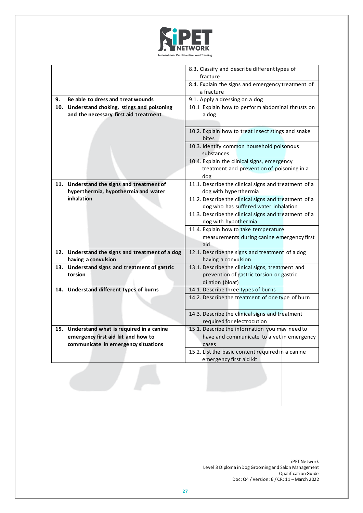

|    |                                                                                  | 8.3. Classify and describe different types of                                             |
|----|----------------------------------------------------------------------------------|-------------------------------------------------------------------------------------------|
|    |                                                                                  | fracture                                                                                  |
|    |                                                                                  | 8.4. Explain the signs and emergency treatment of<br>a fracture                           |
| 9. | Be able to dress and treat wounds                                                | 9.1. Apply a dressing on a dog                                                            |
|    | 10. Understand choking, stings and poisoning                                     | 10.1 Explain how to perform abdominal thrusts on                                          |
|    | and the necessary first aid treatment                                            | a dog                                                                                     |
|    |                                                                                  |                                                                                           |
|    |                                                                                  | 10.2. Explain how to treat insect stings and snake<br>bites                               |
|    |                                                                                  | 10.3. Identify common household poisonous<br>substances                                   |
|    |                                                                                  | 10.4. Explain the clinical signs, emergency<br>treatment and prevention of poisoning in a |
|    |                                                                                  | dog                                                                                       |
|    | 11. Understand the signs and treatment of<br>hyperthermia, hypothermia and water | 11.1. Describe the clinical signs and treatment of a<br>dog with hyperthermia             |
|    | inhalation                                                                       | 11.2. Describe the clinical signs and treatment of a                                      |
|    |                                                                                  | dog who has suffered water inhalation                                                     |
|    |                                                                                  | 11.3. Describe the clinical signs and treatment of a                                      |
|    |                                                                                  | dog with hypothermia                                                                      |
|    |                                                                                  | 11.4. Explain how to take temperature                                                     |
|    |                                                                                  | measurements during canine emergency first<br>aid                                         |
|    | 12. Understand the signs and treatment of a dog                                  | 12.1. Describe the signs and treatment of a dog                                           |
|    | having a convulsion                                                              | having a convulsion                                                                       |
|    | 13. Understand signs and treatment of gastric                                    | 13.1. Describe the clinical signs, treatment and                                          |
|    | torsion                                                                          | prevention of gastric torsion or gastric                                                  |
|    |                                                                                  | dilation (bloat)                                                                          |
|    | 14. Understand different types of burns                                          | 14.1. Describe three types of burns                                                       |
|    |                                                                                  | 14.2. Describe the treatment of one type of burn                                          |
|    |                                                                                  | 14.3. Describe the clinical signs and treatment                                           |
|    |                                                                                  | required for electrocution                                                                |
|    | 15. Understand what is required in a canine                                      | 15.1. Describe the information you may need to                                            |
|    | emergency first aid kit and how to                                               | have and communicate to a vet in emergency                                                |
|    | communicate in emergency situations                                              | cases                                                                                     |
|    |                                                                                  | 15.2. List the basic content required in a canine                                         |
|    |                                                                                  | emergency first aid kit                                                                   |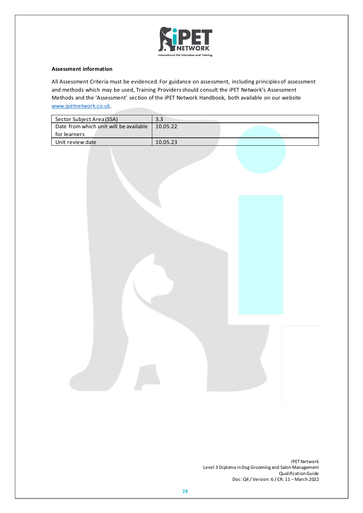

All Assessment Criteria must be evidenced. For guidance on assessment, including principles of assessment and methods which may be used, Training Providers should consult the iPET Network's Assessment Methods and the 'Assessment' section of the iPET Network Handbook, both available on our website [www.ipetnetwork.co.uk.](http://www.ipetnetwork.co.uk/)

| Sector Subject Area (SSA)              | 3.3      |  |
|----------------------------------------|----------|--|
| Date from which unit will be available | 10.05.22 |  |
| for learners                           |          |  |
| Unit review date                       | 10.05.23 |  |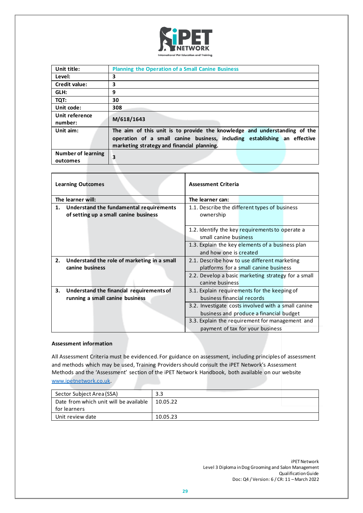

| Unit title:               | <b>Planning the Operation of a Small Canine Business</b>                  |
|---------------------------|---------------------------------------------------------------------------|
| Level:                    | 3                                                                         |
| Credit value:             | 3                                                                         |
| GLH:                      | 9                                                                         |
| TQT:                      | 30                                                                        |
| Unit code:                | 308                                                                       |
| Unit reference            | M/618/1643                                                                |
| number:                   |                                                                           |
| Unit aim:                 | The aim of this unit is to provide the knowledge and understanding of the |
|                           | operation of a small canine business, including establishing an effective |
|                           | marketing strategy and financial planning.                                |
| <b>Number of learning</b> | 3                                                                         |
| outcomes                  |                                                                           |

| <b>Learning Outcomes</b>                                                               | <b>Assessment Criteria</b>                                                                     |
|----------------------------------------------------------------------------------------|------------------------------------------------------------------------------------------------|
| The learner will:                                                                      | The learner can:                                                                               |
| Understand the fundamental requirements<br>1.<br>of setting up a small canine business | 1.1. Describe the different types of business<br>ownership                                     |
|                                                                                        | 1.2. Identify the key requirements to operate a<br>small canine business                       |
|                                                                                        | 1.3. Explain the key elements of a business plan<br>and how one is created                     |
| Understand the role of marketing in a small<br>2.<br>canine business                   | 2.1. Describe how to use different marketing<br>platforms for a small canine business          |
|                                                                                        | 2.2. Develop a basic marketing strategy for a small<br>canine business                         |
| 3.<br>Understand the financial requirements of<br>running a small canine business      | 3.1. Explain requirements for the keeping of<br>business financial records                     |
|                                                                                        | 3.2. Investigate costs involved with a small canine<br>business and produce a financial budget |
|                                                                                        | 3.3. Explain the requirement for management and<br>payment of tax for your business            |

All Assessment Criteria must be evidenced. For guidance on assessment, including principles of assessment and methods which may be used, Training Providers should consult the iPET Network's Assessment Methods and the 'Assessment' section of the iPET Network Handbook, both available on our website [www.ipetnetwork.co.uk.](http://www.ipetnetwork.co.uk/)

| Sector Subject Area (SSA)              | 3.3      |
|----------------------------------------|----------|
| Date from which unit will be available | 10.05.22 |
| for learners                           |          |
| Unit review date                       | 10.05.23 |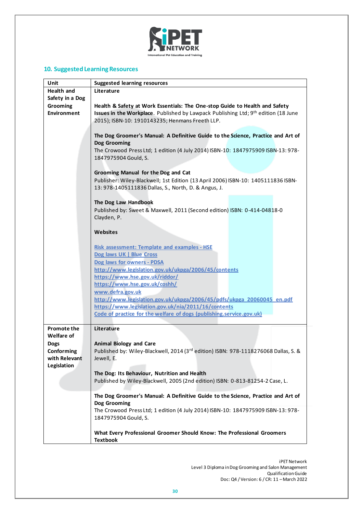

# **10. Suggested LearningResources**

| Unit                             | <b>Suggested learning resources</b>                                                 |
|----------------------------------|-------------------------------------------------------------------------------------|
| <b>Health and</b>                | Literature                                                                          |
| Safety in a Dog                  |                                                                                     |
| Grooming                         | Health & Safety at Work Essentials: The One-stop Guide to Health and Safety         |
| <b>Environment</b>               | Issues in the Workplace. Published by Lawpack Publishing Ltd; 9th edition (18 June  |
|                                  | 2015); ISBN-10: 1910143235; Henmans Freeth LLP.                                     |
|                                  |                                                                                     |
|                                  | The Dog Groomer's Manual: A Definitive Guide to the Science, Practice and Art of    |
|                                  | Dog Grooming                                                                        |
|                                  | The Crowood Press Ltd; 1 edition (4 July 2014) ISBN-10: 1847975909 ISBN-13: 978-    |
|                                  | 1847975904 Gould, S.                                                                |
|                                  | Grooming Manual for the Dog and Cat                                                 |
|                                  | Publisher: Wiley-Blackwell; 1st Edition (13 April 2006) ISBN-10: 1405111836 ISBN-   |
|                                  | 13: 978-1405111836 Dallas, S., North, D. & Angus, J.                                |
|                                  |                                                                                     |
|                                  | The Dog Law Handbook                                                                |
|                                  | Published by: Sweet & Maxwell, 2011 (Second edition) ISBN: 0-414-04818-0            |
|                                  | Clayden, P.                                                                         |
|                                  |                                                                                     |
|                                  | <b>Websites</b>                                                                     |
|                                  |                                                                                     |
|                                  | <b>Risk assessment: Template and examples - HSE</b>                                 |
|                                  | Dog laws UK   Blue Cross                                                            |
|                                  | Dog laws for owners - PDSA<br>http://www.legislation.gov.uk/ukpga/2006/45/contents  |
|                                  | https://www.hse.gov.uk/riddor/                                                      |
|                                  | https://www.hse.gov.uk/coshh/                                                       |
|                                  | www.defra.gov.uk                                                                    |
|                                  | http://www.legislation.gov.uk/ukpga/2006/45/pdfs/ukpga 20060045 en.pdf              |
|                                  | https://www.legislation.gov.uk/nia/2011/16/contents                                 |
|                                  | Code of practice for the welfare of dogs (publishing.service.gov.uk)                |
|                                  |                                                                                     |
| <b>Promote the</b><br>Welfare of | Literature                                                                          |
|                                  | <b>Animal Biology and Care</b>                                                      |
| <b>Dogs</b><br>Conforming        | Published by: Wiley-Blackwell, 2014 (3rd edition) ISBN: 978-1118276068 Dallas, S. & |
| with Relevant                    | Jewell, E.                                                                          |
| Legislation                      |                                                                                     |
|                                  | The Dog: Its Behaviour, Nutrition and Health                                        |
|                                  | Published by Wiley-Blackwell, 2005 (2nd edition) ISBN: 0-813-81254-2 Case, L.       |
|                                  |                                                                                     |
|                                  | The Dog Groomer's Manual: A Definitive Guide to the Science, Practice and Art of    |
|                                  | Dog Grooming                                                                        |
|                                  | The Crowood Press Ltd; 1 edition (4 July 2014) ISBN-10: 1847975909 ISBN-13: 978-    |
|                                  | 1847975904 Gould, S.                                                                |
|                                  | What Every Professional Groomer Should Know: The Professional Groomers              |
|                                  | <b>Textbook</b>                                                                     |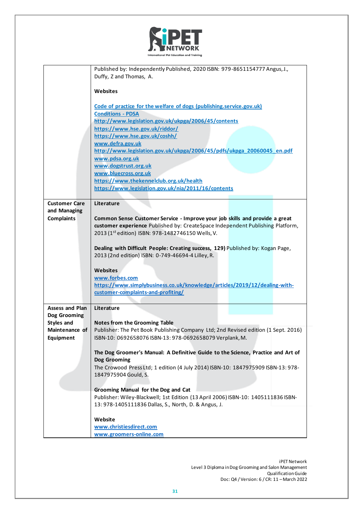

|                        | Published by: Independently Published, 2020 ISBN: 979-8651154777 Angus, J.,        |  |
|------------------------|------------------------------------------------------------------------------------|--|
|                        | Duffy, Z and Thomas, A.                                                            |  |
|                        |                                                                                    |  |
|                        | <b>Websites</b>                                                                    |  |
|                        |                                                                                    |  |
|                        | Code of practice for the welfare of dogs (publishing.service.gov.uk)               |  |
|                        | <b>Conditions - PDSA</b>                                                           |  |
|                        | http://www.legislation.gov.uk/ukpga/2006/45/contents                               |  |
|                        | https://www.hse.gov.uk/riddor/                                                     |  |
|                        | https://www.hse.gov.uk/coshh/                                                      |  |
|                        | www.defra.gov.uk                                                                   |  |
|                        | http://www.legislation.gov.uk/ukpga/2006/45/pdfs/ukpga 20060045 en.pdf             |  |
|                        | www.pdsa.org.uk                                                                    |  |
|                        | www.dogstrust.org.uk                                                               |  |
|                        | www.bluecross.org.uk                                                               |  |
|                        | https://www.thekennelclub.org.uk/health                                            |  |
|                        | https://www.legislation.gov.uk/nia/2011/16/contents                                |  |
|                        |                                                                                    |  |
| <b>Customer Care</b>   | Literature                                                                         |  |
| and Managing           |                                                                                    |  |
| <b>Complaints</b>      | Common Sense Customer Service - Improve your job skills and provide a great        |  |
|                        | customer experience Published by: CreateSpace Independent Publishing Platform,     |  |
|                        | 2013 (1st edition) ISBN: 978-1482746150 Wells, V.                                  |  |
|                        |                                                                                    |  |
|                        | Dealing with Difficult People: Creating success, 129) Published by: Kogan Page,    |  |
|                        | 2013 (2nd edition) ISBN: 0-749-46694-4 Lilley, R.                                  |  |
|                        |                                                                                    |  |
|                        | <b>Websites</b>                                                                    |  |
|                        | www.forbes.com                                                                     |  |
|                        | https://www.simplybusiness.co.uk/knowledge/articles/2019/12/dealing-with-          |  |
|                        | customer-complaints-and-profiting/                                                 |  |
|                        |                                                                                    |  |
| <b>Assess and Plan</b> | Literature                                                                         |  |
| Dog Grooming           |                                                                                    |  |
| <b>Styles and</b>      | <b>Notes from the Grooming Table</b>                                               |  |
| Maintenance of         | Publisher: The Pet Book Publishing Company Ltd; 2nd Revised edition (1 Sept. 2016) |  |
| Equipment              | ISBN-10: 0692658076 ISBN-13: 978-0692658079 Verplank, M.                           |  |
|                        |                                                                                    |  |
|                        | The Dog Groomer's Manual: A Definitive Guide to the Science, Practice and Art of   |  |
|                        | Dog Grooming                                                                       |  |
|                        | The Crowood Press Ltd; 1 edition (4 July 2014) ISBN-10: 1847975909 ISBN-13: 978-   |  |
|                        | 1847975904 Gould, S.                                                               |  |
|                        |                                                                                    |  |
|                        | Grooming Manual for the Dog and Cat                                                |  |
|                        | Publisher: Wiley-Blackwell; 1st Edition (13 April 2006) ISBN-10: 1405111836 ISBN-  |  |
|                        | 13: 978-1405111836 Dallas, S., North, D. & Angus, J.                               |  |
|                        |                                                                                    |  |
|                        | Website                                                                            |  |
|                        | www.christiesdirect.com                                                            |  |
|                        | www.groomers-online.com                                                            |  |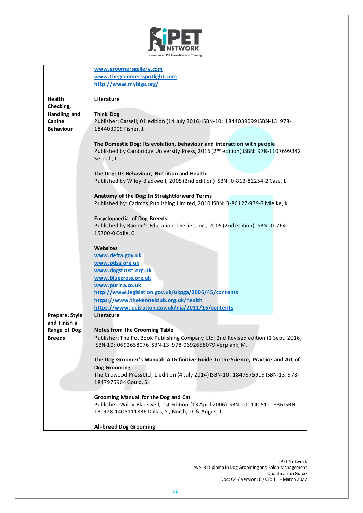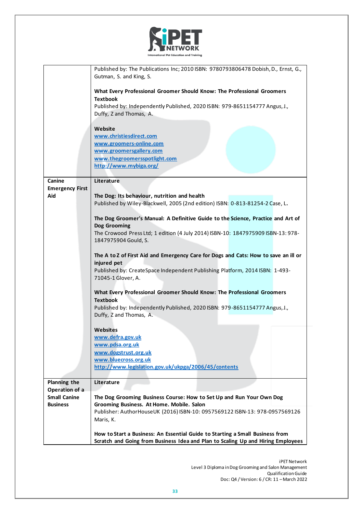

|                               | Published by: The Publications Inc; 2010 ISBN: 9780793806478 Dobish, D., Ernst, G.,                |
|-------------------------------|----------------------------------------------------------------------------------------------------|
|                               | Gutman, S. and King, S.                                                                            |
|                               | What Every Professional Groomer Should Know: The Professional Groomers                             |
|                               | <b>Textbook</b>                                                                                    |
|                               | Published by: Independently Published, 2020 ISBN: 979-8651154777 Angus, J.,                        |
|                               | Duffy, Z and Thomas, A.                                                                            |
|                               | Website                                                                                            |
|                               | www.christiesdirect.com                                                                            |
|                               | www.groomers-online.com                                                                            |
|                               | www.groomersgallery.com<br>www.thegroomersspotlight.com                                            |
|                               | http://www.mybiga.org/                                                                             |
|                               |                                                                                                    |
| Canine                        | Literature                                                                                         |
| <b>Emergency First</b><br>Aid | The Dog: Its behaviour, nutrition and health                                                       |
|                               | Published by Wiley-Blackwell, 2005 (2nd edition) ISBN: 0-813-81254-2 Case, L.                      |
|                               |                                                                                                    |
|                               | The Dog Groomer's Manual: A Definitive Guide to the Science, Practice and Art of                   |
|                               | Dog Grooming<br>The Crowood Press Ltd; 1 edition (4 July 2014) ISBN-10: 1847975909 ISBN-13: 978-   |
|                               | 1847975904 Gould, S.                                                                               |
|                               |                                                                                                    |
|                               | The A to Z of First Aid and Emergency Care for Dogs and Cats: How to save an ill or                |
|                               | injured pet                                                                                        |
|                               | Published by: CreateSpace Independent Publishing Platform, 2014 ISBN: 1-493-<br>71045-1 Glover, A. |
|                               |                                                                                                    |
|                               | What Every Professional Groomer Should Know: The Professional Groomers                             |
|                               | <b>Textbook</b><br>Published by: Independently Published, 2020 ISBN: 979-8651154777 Angus, J.,     |
|                               | Duffy, Z and Thomas, A.                                                                            |
|                               |                                                                                                    |
|                               | Websites                                                                                           |
|                               | www.defra.gov.uk<br>www.pdsa.org.uk                                                                |
|                               | www.dogstrust.org.uk                                                                               |
|                               | www.bluecross.org.uk                                                                               |
|                               | http://www.legislation.gov.uk/ukpga/2006/45/contents                                               |
| <b>Planning the</b>           | Literature                                                                                         |
| Operation of a                |                                                                                                    |
| <b>Small Canine</b>           | The Dog Grooming Business Course: How to Set Up and Run Your Own Dog                               |
| <b>Business</b>               | Grooming Business. At Home. Mobile. Salon                                                          |
|                               | Publisher: AuthorHouseUK (2016) ISBN-10: 0957569122 ISBN-13: 978-0957569126                        |
|                               | Maris, K.                                                                                          |
|                               | How to Start a Business: An Essential Guide to Starting a Small Business from                      |
|                               | Scratch and Going from Business Idea and Plan to Scaling Up and Hiring Employees                   |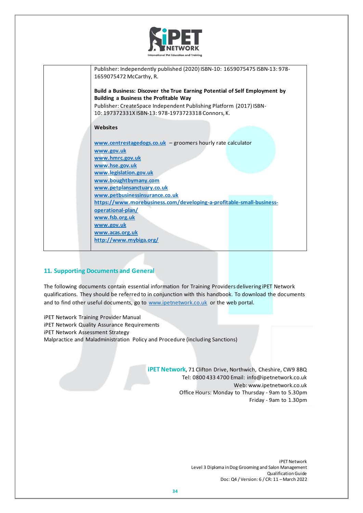

| Publisher: Independently published (2020) ISBN-10: 1659075475 ISBN-13: 978- |
|-----------------------------------------------------------------------------|
| 1659075472 McCarthy, R.                                                     |
| Build a Business: Discover the True Earning Potential of Self Employment by |
| Building a Business the Profitable Way                                      |
| Publisher: CreateSpace Independent Publishing Platform (2017) ISBN-         |
| 10: 197372331X ISBN-13: 978-1973723318 Connors, K.                          |
|                                                                             |
| Websites                                                                    |
| www.centrestagedogs.co.uk - groomers hourly rate calculator                 |
| www.gov.uk                                                                  |
| www.hmrc.gov.uk                                                             |
| www.hse.gov.uk                                                              |
| www.legislation.gov.uk                                                      |
| www.boughtbymany.com                                                        |
| www.petplansanctuary.co.uk                                                  |
| www.petbusinessinsurance.co.uk                                              |
| https://www.morebusiness.com/developing-a-profitable-small-business-        |
| operational-plan/                                                           |
| www.fsb.org.uk                                                              |
| www.gov.uk                                                                  |
| www.acas.org.uk                                                             |
| http://www.mybiga.org/                                                      |
|                                                                             |

# **11. Supporting Documents and General**

The following documents contain essential information for Training Providers delivering iPET Network qualifications. They should be referred to in conjunction with this handbook. To download the documents and to find other useful documents, go to [www.ipetnetwork.co.uk](http://www.ipetnetwork.co.uk/) or the web portal.

iPET Network Training Provider Manual iPET Network Quality Assurance Requirements iPET Network Assessment Strategy Malpractice and Maladministration Policy and Procedure (including Sanctions)

> **iPET Network**, 71 Clifton Drive, Northwich, Cheshire, CW9 8BQ Tel: 0800 433 4700 Email[: info@ipetnetwork.co.uk](mailto:info@ipetnetwork.co.uk) Web: www.ipetnetwork.co.uk Office Hours: Monday to Thursday - 9am to 5.30pm Friday - 9am to 1.30pm